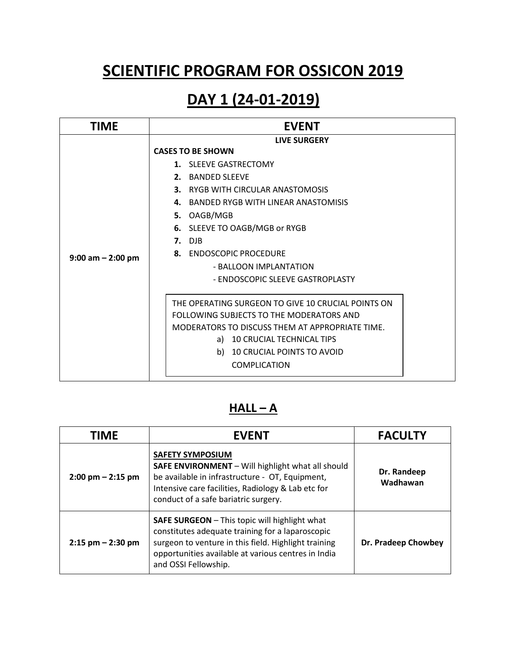# **SCIENTIFIC PROGRAM FOR OSSICON 2019**

### **DAY 1 (24-01-2019)**

| TIME                  | <b>EVENT</b>                                                                                                                                                                                                                                                                                                                                                                                                                                |
|-----------------------|---------------------------------------------------------------------------------------------------------------------------------------------------------------------------------------------------------------------------------------------------------------------------------------------------------------------------------------------------------------------------------------------------------------------------------------------|
| $9:00$ am $- 2:00$ pm | LIVE SURGERY<br><b>CASES TO BE SHOWN</b><br>1. SLEEVE GASTRECTOMY<br>2. BANDED SLEEVE<br>3. RYGB WITH CIRCULAR ANASTOMOSIS<br>BANDED RYGB WITH LINFAR ANASTOMISIS<br>4.<br>5. OAGB/MGB<br>SLEEVE TO OAGB/MGB or RYGB<br>6.<br>$7.$ DJB<br><b>ENDOSCOPIC PROCEDURE</b><br>8.<br>- BALLOON IMPLANTATION<br>- ENDOSCOPIC SLEEVE GASTROPLASTY<br>THE OPERATING SURGEON TO GIVE 10 CRUCIAL POINTS ON<br>FOLLOWING SUBJECTS TO THE MODERATORS AND |
|                       | MODERATORS TO DISCUSS THEM AT APPROPRIATE TIME.                                                                                                                                                                                                                                                                                                                                                                                             |
|                       | a) 10 CRUCIAL TECHNICAL TIPS<br>10 CRUCIAL POINTS TO AVOID<br>b)<br><b>COMPLICATION</b>                                                                                                                                                                                                                                                                                                                                                     |

#### $HALL - A$

| <b>TIME</b>                         | <b>EVENT</b>                                                                                                                                                                                                                                    | <b>FACULTY</b>          |
|-------------------------------------|-------------------------------------------------------------------------------------------------------------------------------------------------------------------------------------------------------------------------------------------------|-------------------------|
| $2:00 \text{ pm} - 2:15 \text{ pm}$ | <b>SAFETY SYMPOSIUM</b><br>SAFE ENVIRONMENT - Will highlight what all should<br>be available in infrastructure - OT, Equipment,<br>Intensive care facilities, Radiology & Lab etc for<br>conduct of a safe bariatric surgery.                   | Dr. Randeep<br>Wadhawan |
| $2:15$ pm $- 2:30$ pm               | <b>SAFE SURGEON</b> - This topic will highlight what<br>constitutes adequate training for a laparoscopic<br>surgeon to venture in this field. Highlight training<br>opportunities available at various centres in India<br>and OSSI Fellowship. | Dr. Pradeep Chowbey     |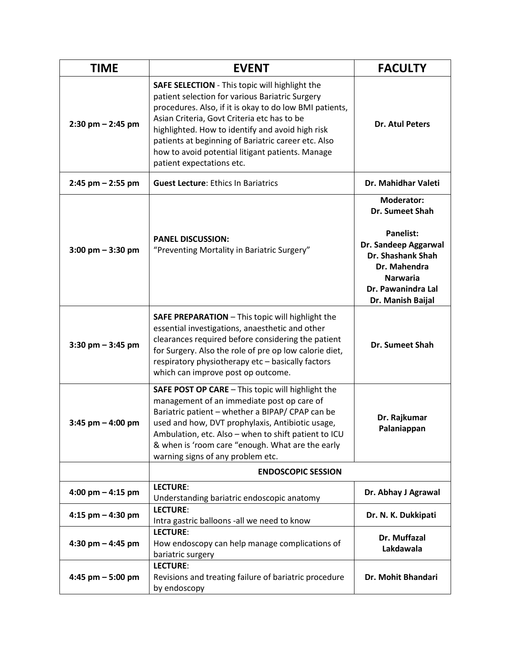| <b>TIME</b>          | <b>EVENT</b>                                                                                                                                                                                                                                                                                                                                                                                                   | <b>FACULTY</b>                                                                                                                                                                      |
|----------------------|----------------------------------------------------------------------------------------------------------------------------------------------------------------------------------------------------------------------------------------------------------------------------------------------------------------------------------------------------------------------------------------------------------------|-------------------------------------------------------------------------------------------------------------------------------------------------------------------------------------|
| 2:30 pm - 2:45 pm    | <b>SAFE SELECTION</b> - This topic will highlight the<br>patient selection for various Bariatric Surgery<br>procedures. Also, if it is okay to do low BMI patients,<br>Asian Criteria, Govt Criteria etc has to be<br>highlighted. How to identify and avoid high risk<br>patients at beginning of Bariatric career etc. Also<br>how to avoid potential litigant patients. Manage<br>patient expectations etc. | <b>Dr. Atul Peters</b>                                                                                                                                                              |
| $2:45$ pm $-2:55$ pm | <b>Guest Lecture: Ethics In Bariatrics</b>                                                                                                                                                                                                                                                                                                                                                                     | Dr. Mahidhar Valeti                                                                                                                                                                 |
| $3:00$ pm $-3:30$ pm | <b>PANEL DISCUSSION:</b><br>"Preventing Mortality in Bariatric Surgery"                                                                                                                                                                                                                                                                                                                                        | <b>Moderator:</b><br>Dr. Sumeet Shah<br><b>Panelist:</b><br>Dr. Sandeep Aggarwal<br>Dr. Shashank Shah<br>Dr. Mahendra<br><b>Narwaria</b><br>Dr. Pawanindra Lal<br>Dr. Manish Baijal |
| $3:30$ pm $-3:45$ pm | SAFE PREPARATION - This topic will highlight the<br>essential investigations, anaesthetic and other<br>clearances required before considering the patient<br>for Surgery. Also the role of pre op low calorie diet,<br>respiratory physiotherapy etc - basically factors<br>which can improve post op outcome.                                                                                                 | Dr. Sumeet Shah                                                                                                                                                                     |
| $3:45$ pm $-4:00$ pm | SAFE POST OP CARE - This topic will highlight the<br>management of an immediate post op care of<br>Bariatric patient - whether a BIPAP/ CPAP can be<br>used and how, DVT prophylaxis, Antibiotic usage,<br>Ambulation, etc. Also - when to shift patient to ICU<br>& when is 'room care "enough. What are the early<br>warning signs of any problem etc.                                                       | Dr. Rajkumar<br>Palaniappan                                                                                                                                                         |
|                      | <b>ENDOSCOPIC SESSION</b>                                                                                                                                                                                                                                                                                                                                                                                      |                                                                                                                                                                                     |
| 4:00 pm $-$ 4:15 pm  | LECTURE:<br>Understanding bariatric endoscopic anatomy                                                                                                                                                                                                                                                                                                                                                         | Dr. Abhay J Agrawal                                                                                                                                                                 |
| 4:15 pm $-$ 4:30 pm  | LECTURE:<br>Intra gastric balloons -all we need to know                                                                                                                                                                                                                                                                                                                                                        | Dr. N. K. Dukkipati                                                                                                                                                                 |
| 4:30 pm $-$ 4:45 pm  | LECTURE:<br>How endoscopy can help manage complications of<br>bariatric surgery                                                                                                                                                                                                                                                                                                                                | Dr. Muffazal<br>Lakdawala                                                                                                                                                           |
| 4:45 pm $-5:00$ pm   | LECTURE:<br>Revisions and treating failure of bariatric procedure<br>by endoscopy                                                                                                                                                                                                                                                                                                                              | Dr. Mohit Bhandari                                                                                                                                                                  |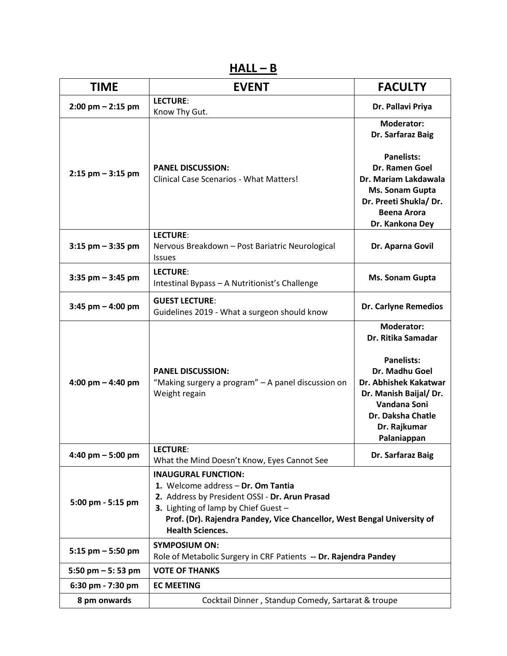$HALL - B$ 

| <b>TIME</b>           | <b>EVENT</b>                                                                                                                                                                                                                                                     | <b>FACULTY</b>                                                                                                                                                                                        |
|-----------------------|------------------------------------------------------------------------------------------------------------------------------------------------------------------------------------------------------------------------------------------------------------------|-------------------------------------------------------------------------------------------------------------------------------------------------------------------------------------------------------|
| $2:00$ pm $- 2:15$ pm | LECTURE:<br>Know Thy Gut.                                                                                                                                                                                                                                        | Dr. Pallavi Priya                                                                                                                                                                                     |
| $2:15$ pm $-3:15$ pm  | <b>PANEL DISCUSSION:</b><br><b>Clinical Case Scenarios - What Matters!</b>                                                                                                                                                                                       | <b>Moderator:</b><br>Dr. Sarfaraz Baig<br><b>Panelists:</b><br>Dr. Ramen Goel<br>Dr. Mariam Lakdawala<br>Ms. Sonam Gupta<br>Dr. Preeti Shukla/ Dr.<br><b>Beena Arora</b><br>Dr. Kankona Dey           |
| $3:15$ pm $-3:35$ pm  | LECTURE:<br>Nervous Breakdown - Post Bariatric Neurological<br><b>Issues</b>                                                                                                                                                                                     | Dr. Aparna Govil                                                                                                                                                                                      |
| $3:35$ pm $-3:45$ pm  | LECTURE:<br>Intestinal Bypass - A Nutritionist's Challenge                                                                                                                                                                                                       | Ms. Sonam Gupta                                                                                                                                                                                       |
| $3:45$ pm $- 4:00$ pm | <b>GUEST LECTURE:</b><br>Guidelines 2019 - What a surgeon should know                                                                                                                                                                                            | <b>Dr. Carlyne Remedios</b>                                                                                                                                                                           |
| 4:00 pm $-$ 4:40 pm   | <b>PANEL DISCUSSION:</b><br>"Making surgery a program" - A panel discussion on<br>Weight regain                                                                                                                                                                  | <b>Moderator:</b><br>Dr. Ritika Samadar<br><b>Panelists:</b><br>Dr. Madhu Goel<br>Dr. Abhishek Kakatwar<br>Dr. Manish Baijal/ Dr.<br>Vandana Soni<br>Dr. Daksha Chatle<br>Dr. Rajkumar<br>Palaniappan |
| 4:40 pm $-5:00$ pm    | <b>LECTURE:</b><br>What the Mind Doesn't Know, Eyes Cannot See                                                                                                                                                                                                   | Dr. Sarfaraz Baig                                                                                                                                                                                     |
| 5:00 pm - 5:15 pm     | <b>INAUGURAL FUNCTION:</b><br>1. Welcome address - Dr. Om Tantia<br>2. Address by President OSSI - Dr. Arun Prasad<br>3. Lighting of lamp by Chief Guest -<br>Prof. (Dr). Rajendra Pandey, Vice Chancellor, West Bengal University of<br><b>Health Sciences.</b> |                                                                                                                                                                                                       |
| 5:15 pm $-$ 5:50 pm   | <b>SYMPOSIUM ON:</b><br>Role of Metabolic Surgery in CRF Patients -- Dr. Rajendra Pandey                                                                                                                                                                         |                                                                                                                                                                                                       |
| 5:50 pm $-5:53$ pm    | <b>VOTE OF THANKS</b>                                                                                                                                                                                                                                            |                                                                                                                                                                                                       |
| 6:30 pm - 7:30 pm     | <b>EC MEETING</b>                                                                                                                                                                                                                                                |                                                                                                                                                                                                       |
| 8 pm onwards          | Cocktail Dinner, Standup Comedy, Sartarat & troupe                                                                                                                                                                                                               |                                                                                                                                                                                                       |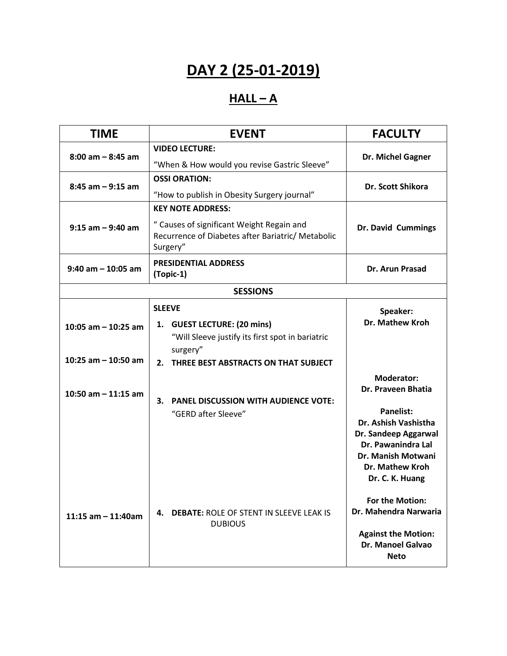# **DAY 2 (25-01-2019)**

#### **HALL – A**

| <b>TIME</b>                                    | <b>EVENT</b>                                                                                                                                            | <b>FACULTY</b>                                                                                                                                                           |
|------------------------------------------------|---------------------------------------------------------------------------------------------------------------------------------------------------------|--------------------------------------------------------------------------------------------------------------------------------------------------------------------------|
| $8:00$ am $-8:45$ am                           | <b>VIDEO LECTURE:</b><br>"When & How would you revise Gastric Sleeve"                                                                                   | Dr. Michel Gagner                                                                                                                                                        |
| $8:45$ am $-9:15$ am                           | <b>OSSI ORATION:</b><br>"How to publish in Obesity Surgery journal"                                                                                     | Dr. Scott Shikora                                                                                                                                                        |
| $9:15$ am $-9:40$ am                           | <b>KEY NOTE ADDRESS:</b><br>" Causes of significant Weight Regain and<br>Recurrence of Diabetes after Bariatric/ Metabolic<br>Surgery"                  | Dr. David Cummings                                                                                                                                                       |
| $9:40$ am $-10:05$ am                          | <b>PRESIDENTIAL ADDRESS</b><br>(Topic-1)                                                                                                                | Dr. Arun Prasad                                                                                                                                                          |
|                                                | <b>SESSIONS</b>                                                                                                                                         |                                                                                                                                                                          |
| 10:05 am $-$ 10:25 am<br>10:25 am $-$ 10:50 am | <b>SLEEVE</b><br>1. GUEST LECTURE: (20 mins)<br>"Will Sleeve justify its first spot in bariatric<br>surgery"<br>2. THREE BEST ABSTRACTS ON THAT SUBJECT | Speaker:<br><b>Dr. Mathew Kroh</b><br><b>Moderator:</b>                                                                                                                  |
| 10:50 am $-$ 11:15 am                          | 3. PANEL DISCUSSION WITH AUDIENCE VOTE:<br>"GERD after Sleeve"                                                                                          | Dr. Praveen Bhatia<br><b>Panelist:</b><br>Dr. Ashish Vashistha<br>Dr. Sandeep Aggarwal<br>Dr. Pawanindra Lal<br>Dr. Manish Motwani<br>Dr. Mathew Kroh<br>Dr. C. K. Huang |
| 11:15 $am - 11:40am$                           | 4. DEBATE: ROLE OF STENT IN SLEEVE LEAK IS<br><b>DUBIOUS</b>                                                                                            | For the Motion:<br>Dr. Mahendra Narwaria<br><b>Against the Motion:</b><br>Dr. Manoel Galvao<br><b>Neto</b>                                                               |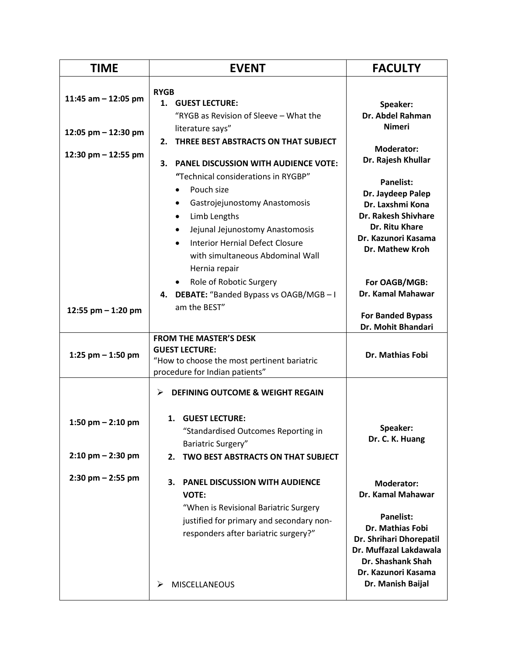| <b>TIME</b>           | <b>EVENT</b>                                                                                                                                                                                                                         | <b>FACULTY</b>                                                                                                                                           |
|-----------------------|--------------------------------------------------------------------------------------------------------------------------------------------------------------------------------------------------------------------------------------|----------------------------------------------------------------------------------------------------------------------------------------------------------|
| 11:45 am $-$ 12:05 pm | <b>RYGB</b><br>1. GUEST LECTURE:                                                                                                                                                                                                     | Speaker:                                                                                                                                                 |
| 12:05 pm - 12:30 pm   | "RYGB as Revision of Sleeve - What the<br>literature says"<br>THREE BEST ABSTRACTS ON THAT SUBJECT<br>2.                                                                                                                             | Dr. Abdel Rahman<br><b>Nimeri</b><br><b>Moderator:</b>                                                                                                   |
| 12:30 pm - 12:55 pm   | <b>PANEL DISCUSSION WITH AUDIENCE VOTE:</b><br>3.<br>"Technical considerations in RYGBP"<br>Pouch size<br>Gastrojejunostomy Anastomosis<br>Limb Lengths<br>Jejunal Jejunostomy Anastomosis<br><b>Interior Hernial Defect Closure</b> | Dr. Rajesh Khullar<br><b>Panelist:</b><br>Dr. Jaydeep Palep<br>Dr. Laxshmi Kona<br>Dr. Rakesh Shivhare<br>Dr. Ritu Khare<br>Dr. Kazunori Kasama          |
| 12:55 pm $-$ 1:20 pm  | with simultaneous Abdominal Wall<br>Hernia repair<br>• Role of Robotic Surgery<br>4. DEBATE: "Banded Bypass vs OAGB/MGB-I<br>am the BEST"                                                                                            | <b>Dr. Mathew Kroh</b><br>For OAGB/MGB:<br>Dr. Kamal Mahawar<br><b>For Banded Bypass</b>                                                                 |
|                       | <b>FROM THE MASTER'S DESK</b>                                                                                                                                                                                                        | Dr. Mohit Bhandari                                                                                                                                       |
| 1:25 pm $-$ 1:50 pm   | <b>GUEST LECTURE:</b><br>"How to choose the most pertinent bariatric<br>procedure for Indian patients"                                                                                                                               | Dr. Mathias Fobi                                                                                                                                         |
| 1:50 pm $-$ 2:10 pm   | <b>DEFINING OUTCOME &amp; WEIGHT REGAIN</b><br>⋗<br>1. GUEST LECTURE:                                                                                                                                                                | Speaker:                                                                                                                                                 |
| $2:10$ pm $- 2:30$ pm | "Standardised Outcomes Reporting in<br>Bariatric Surgery"<br>TWO BEST ABSTRACTS ON THAT SUBJECT<br>2.                                                                                                                                | Dr. C. K. Huang                                                                                                                                          |
| $2:30$ pm $- 2:55$ pm | <b>PANEL DISCUSSION WITH AUDIENCE</b><br>З.<br><b>VOTE:</b><br>"When is Revisional Bariatric Surgery<br>justified for primary and secondary non-<br>responders after bariatric surgery?"                                             | <b>Moderator:</b><br>Dr. Kamal Mahawar<br><b>Panelist:</b><br>Dr. Mathias Fobi<br>Dr. Shrihari Dhorepatil<br>Dr. Muffazal Lakdawala<br>Dr. Shashank Shah |
|                       | <b>MISCELLANEOUS</b><br>⋗                                                                                                                                                                                                            | Dr. Kazunori Kasama<br>Dr. Manish Baijal                                                                                                                 |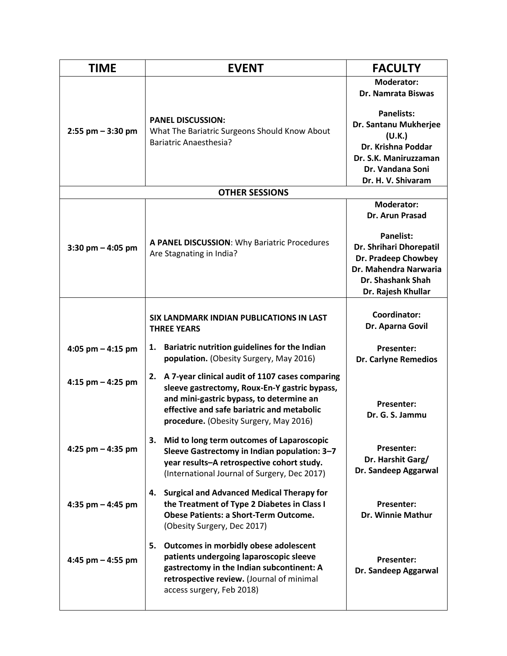| <b>TIME</b>           | <b>EVENT</b>                                                                                                                                                                                                                               | <b>FACULTY</b>                                                                                                                                |
|-----------------------|--------------------------------------------------------------------------------------------------------------------------------------------------------------------------------------------------------------------------------------------|-----------------------------------------------------------------------------------------------------------------------------------------------|
|                       |                                                                                                                                                                                                                                            | <b>Moderator:</b><br>Dr. Namrata Biswas                                                                                                       |
| $2:55$ pm $-3:30$ pm  | <b>PANEL DISCUSSION:</b><br>What The Bariatric Surgeons Should Know About<br><b>Bariatric Anaesthesia?</b>                                                                                                                                 | <b>Panelists:</b><br>Dr. Santanu Mukherjee<br>(U.K.)<br>Dr. Krishna Poddar<br>Dr. S.K. Maniruzzaman<br>Dr. Vandana Soni<br>Dr. H. V. Shivaram |
|                       | <b>OTHER SESSIONS</b>                                                                                                                                                                                                                      |                                                                                                                                               |
|                       |                                                                                                                                                                                                                                            | <b>Moderator:</b><br>Dr. Arun Prasad                                                                                                          |
| $3:30$ pm $- 4:05$ pm | A PANEL DISCUSSION: Why Bariatric Procedures<br>Are Stagnating in India?                                                                                                                                                                   | <b>Panelist:</b><br>Dr. Shrihari Dhorepatil<br>Dr. Pradeep Chowbey<br>Dr. Mahendra Narwaria<br>Dr. Shashank Shah<br>Dr. Rajesh Khullar        |
|                       | SIX LANDMARK INDIAN PUBLICATIONS IN LAST<br><b>THREE YEARS</b>                                                                                                                                                                             | Coordinator:<br>Dr. Aparna Govil                                                                                                              |
| 4:05 pm $-$ 4:15 pm   | Bariatric nutrition guidelines for the Indian<br>1.<br>population. (Obesity Surgery, May 2016)                                                                                                                                             | <b>Presenter:</b><br>Dr. Carlyne Remedios                                                                                                     |
| 4:15 pm $-$ 4:25 pm   | A 7-year clinical audit of 1107 cases comparing<br>2.<br>sleeve gastrectomy, Roux-En-Y gastric bypass,<br>and mini-gastric bypass, to determine an<br>effective and safe bariatric and metabolic<br>procedure. (Obesity Surgery, May 2016) | <b>Presenter:</b><br>Dr. G. S. Jammu                                                                                                          |
| 4:25 pm $-$ 4:35 pm   | Mid to long term outcomes of Laparoscopic<br>3.<br>Sleeve Gastrectomy in Indian population: 3-7<br>year results-A retrospective cohort study.<br>(International Journal of Surgery, Dec 2017)                                              | Presenter:<br>Dr. Harshit Garg/<br>Dr. Sandeep Aggarwal                                                                                       |
| 4:35 pm $-$ 4:45 pm   | <b>Surgical and Advanced Medical Therapy for</b><br>4.<br>the Treatment of Type 2 Diabetes in Class I<br><b>Obese Patients: a Short-Term Outcome.</b><br>(Obesity Surgery, Dec 2017)                                                       | <b>Presenter:</b><br><b>Dr. Winnie Mathur</b>                                                                                                 |
| 4:45 pm $-$ 4:55 pm   | Outcomes in morbidly obese adolescent<br>5.<br>patients undergoing laparoscopic sleeve<br>gastrectomy in the Indian subcontinent: A<br>retrospective review. (Journal of minimal<br>access surgery, Feb 2018)                              | <b>Presenter:</b><br>Dr. Sandeep Aggarwal                                                                                                     |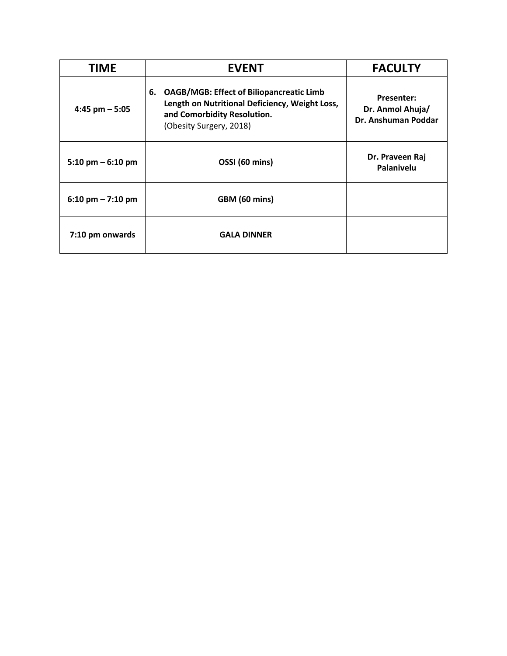| <b>TIME</b>                         | <b>EVENT</b>                                                                                                                                                      | <b>FACULTY</b>                                               |
|-------------------------------------|-------------------------------------------------------------------------------------------------------------------------------------------------------------------|--------------------------------------------------------------|
| $4:45$ pm $-5:05$                   | <b>OAGB/MGB: Effect of Biliopancreatic Limb</b><br>6.<br>Length on Nutritional Deficiency, Weight Loss,<br>and Comorbidity Resolution.<br>(Obesity Surgery, 2018) | <b>Presenter:</b><br>Dr. Anmol Ahuja/<br>Dr. Anshuman Poddar |
| $5:10 \text{ pm} - 6:10 \text{ pm}$ | OSSI (60 mins)                                                                                                                                                    | Dr. Praveen Raj<br>Palanivelu                                |
| $6:10 \text{ pm} - 7:10 \text{ pm}$ | GBM (60 mins)                                                                                                                                                     |                                                              |
| 7:10 pm onwards                     | <b>GALA DINNER</b>                                                                                                                                                |                                                              |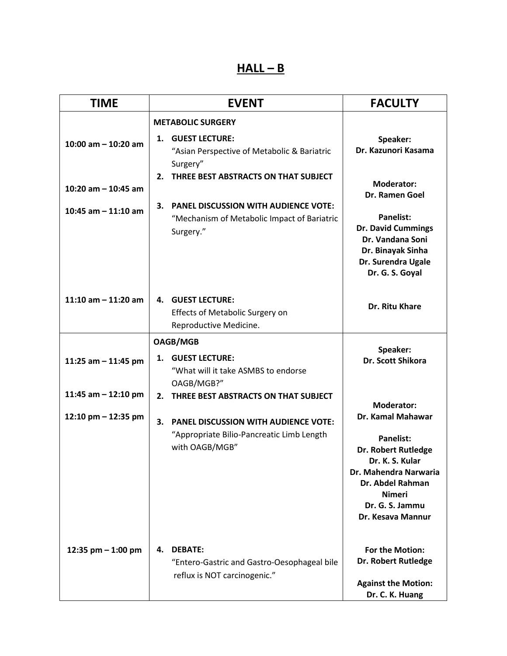#### **HALL – B**

| <b>TIME</b>           | <b>EVENT</b>                                                                                                                                                  | <b>FACULTY</b>                                                                                                                                                                        |
|-----------------------|---------------------------------------------------------------------------------------------------------------------------------------------------------------|---------------------------------------------------------------------------------------------------------------------------------------------------------------------------------------|
| 10:00 am $-$ 10:20 am | <b>METABOLIC SURGERY</b><br><b>GUEST LECTURE:</b><br>1.<br>"Asian Perspective of Metabolic & Bariatric<br>Surgery"<br>2. THREE BEST ABSTRACTS ON THAT SUBJECT | Speaker:<br>Dr. Kazunori Kasama                                                                                                                                                       |
| 10:20 am $-$ 10:45 am |                                                                                                                                                               | <b>Moderator:</b><br><b>Dr. Ramen Goel</b>                                                                                                                                            |
| 10:45 am $-$ 11:10 am | <b>PANEL DISCUSSION WITH AUDIENCE VOTE:</b><br>3.<br>"Mechanism of Metabolic Impact of Bariatric<br>Surgery."                                                 | <b>Panelist:</b><br><b>Dr. David Cummings</b><br>Dr. Vandana Soni<br>Dr. Binayak Sinha<br>Dr. Surendra Ugale<br>Dr. G. S. Goyal                                                       |
| 11:10 am $-$ 11:20 am | <b>4. GUEST LECTURE:</b><br>Effects of Metabolic Surgery on<br>Reproductive Medicine.                                                                         | Dr. Ritu Khare                                                                                                                                                                        |
|                       | <b>OAGB/MGB</b>                                                                                                                                               |                                                                                                                                                                                       |
| 11:25 am $-$ 11:45 pm | 1. GUEST LECTURE:<br>"What will it take ASMBS to endorse<br>OAGB/MGB?"                                                                                        | Speaker:<br>Dr. Scott Shikora                                                                                                                                                         |
| 11:45 am $-$ 12:10 pm | 2. THREE BEST ABSTRACTS ON THAT SUBJECT                                                                                                                       | <b>Moderator:</b>                                                                                                                                                                     |
| 12:10 pm - 12:35 pm   | 3.<br><b>PANEL DISCUSSION WITH AUDIENCE VOTE:</b><br>"Appropriate Bilio-Pancreatic Limb Length<br>with OAGB/MGB"                                              | Dr. Kamal Mahawar<br><b>Panelist:</b><br>Dr. Robert Rutledge<br>Dr. K. S. Kular<br>Dr. Mahendra Narwaria<br>Dr. Abdel Rahman<br><b>Nimeri</b><br>Dr. G. S. Jammu<br>Dr. Kesava Mannur |
| 12:35 pm $-$ 1:00 pm  | <b>DEBATE:</b><br>4.<br>"Entero-Gastric and Gastro-Oesophageal bile<br>reflux is NOT carcinogenic."                                                           | For the Motion:<br>Dr. Robert Rutledge<br><b>Against the Motion:</b><br>Dr. C. K. Huang                                                                                               |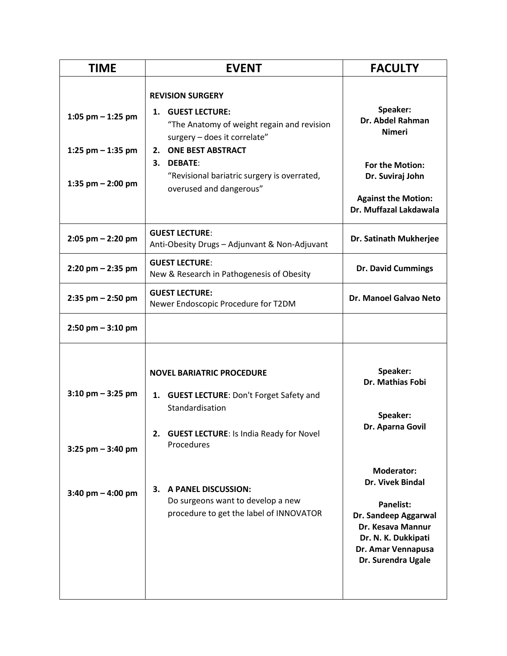| <b>TIME</b>                                                       | <b>EVENT</b>                                                                                                                                                                                                                                         | <b>FACULTY</b>                                                                                                                                                            |
|-------------------------------------------------------------------|------------------------------------------------------------------------------------------------------------------------------------------------------------------------------------------------------------------------------------------------------|---------------------------------------------------------------------------------------------------------------------------------------------------------------------------|
| 1:05 pm $-$ 1:25 pm<br>1:25 pm $-$ 1:35 pm<br>1:35 pm $-$ 2:00 pm | <b>REVISION SURGERY</b><br>1. GUEST LECTURE:<br>"The Anatomy of weight regain and revision<br>surgery - does it correlate"<br><b>ONE BEST ABSTRACT</b><br>2.<br>3. DEBATE:<br>"Revisional bariatric surgery is overrated,<br>overused and dangerous" | Speaker:<br>Dr. Abdel Rahman<br><b>Nimeri</b><br>For the Motion:<br>Dr. Suviraj John<br><b>Against the Motion:</b>                                                        |
|                                                                   | <b>GUEST LECTURE:</b>                                                                                                                                                                                                                                | Dr. Muffazal Lakdawala                                                                                                                                                    |
| $2:05$ pm $- 2:20$ pm                                             | Anti-Obesity Drugs - Adjunvant & Non-Adjuvant                                                                                                                                                                                                        | Dr. Satinath Mukherjee                                                                                                                                                    |
| $2:20$ pm $- 2:35$ pm                                             | <b>GUEST LECTURE:</b><br>New & Research in Pathogenesis of Obesity                                                                                                                                                                                   | <b>Dr. David Cummings</b>                                                                                                                                                 |
| $2:35$ pm $- 2:50$ pm                                             | <b>GUEST LECTURE:</b><br>Newer Endoscopic Procedure for T2DM                                                                                                                                                                                         | Dr. Manoel Galvao Neto                                                                                                                                                    |
| $2:50$ pm $-3:10$ pm                                              |                                                                                                                                                                                                                                                      |                                                                                                                                                                           |
| $3:10$ pm $-3:25$ pm<br>$3:25$ pm $-3:40$ pm                      | <b>NOVEL BARIATRIC PROCEDURE</b><br>1. GUEST LECTURE: Don't Forget Safety and<br>Standardisation<br>2. GUEST LECTURE: Is India Ready for Novel<br>Procedures                                                                                         | Speaker:<br>Dr. Mathias Fobi<br>Speaker:<br>Dr. Aparna Govil                                                                                                              |
| $3:40$ pm $- 4:00$ pm                                             | A PANEL DISCUSSION:<br>3.<br>Do surgeons want to develop a new<br>procedure to get the label of INNOVATOR                                                                                                                                            | <b>Moderator:</b><br>Dr. Vivek Bindal<br><b>Panelist:</b><br>Dr. Sandeep Aggarwal<br>Dr. Kesava Mannur<br>Dr. N. K. Dukkipati<br>Dr. Amar Vennapusa<br>Dr. Surendra Ugale |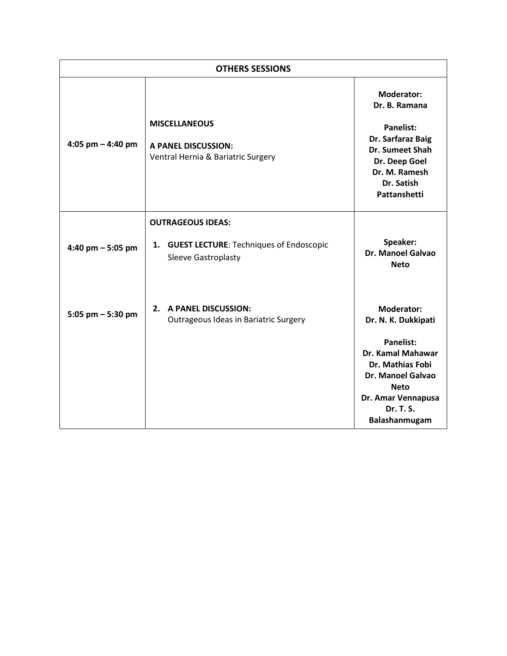| <b>OTHERS SESSIONS</b> |                                                                                               |                                                                                                                                                                               |
|------------------------|-----------------------------------------------------------------------------------------------|-------------------------------------------------------------------------------------------------------------------------------------------------------------------------------|
| 4:05 pm $-$ 4:40 pm    | <b>MISCELLANEOUS</b><br><b>A PANEL DISCUSSION:</b><br>Ventral Hernia & Bariatric Surgery      | <b>Moderator:</b><br>Dr. B. Ramana<br>Panelist:<br>Dr. Sarfaraz Baig<br>Dr. Sumeet Shah<br>Dr. Deep Goel<br>Dr. M. Ramesh<br>Dr. Satish<br>Pattanshetti                       |
| 4:40 pm $-$ 5:05 pm    | <b>OUTRAGEOUS IDEAS:</b><br>1. GUEST LECTURE: Techniques of Endoscopic<br>Sleeve Gastroplasty | Speaker:<br>Dr. Manoel Galvao<br><b>Neto</b>                                                                                                                                  |
| 5:05 pm $-$ 5:30 pm    | 2. A PANEL DISCUSSION:<br>Outrageous Ideas in Bariatric Surgery                               | <b>Moderator:</b><br>Dr. N. K. Dukkipati<br><b>Panelist:</b><br>Dr. Kamal Mahawar<br><b>Dr. Mathias Fobi</b><br><b>Dr. Manoel Galvao</b><br><b>Neto</b><br>Dr. Amar Vennapusa |
|                        |                                                                                               | Dr. T. S.<br>Balashanmugam                                                                                                                                                    |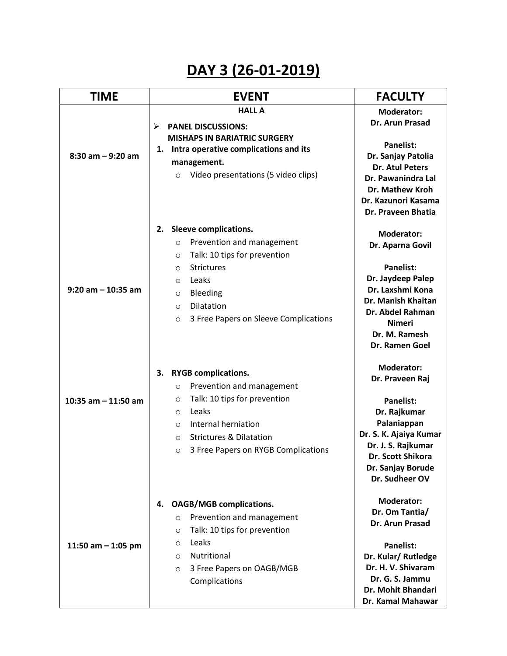# **DAY 3 (26-01-2019)**

| <b>TIME</b>           | <b>EVENT</b>                                                                                                                       | <b>FACULTY</b>                                                                                                      |
|-----------------------|------------------------------------------------------------------------------------------------------------------------------------|---------------------------------------------------------------------------------------------------------------------|
| $8:30$ am $-9:20$ am  | <b>HALL A</b><br><b>PANEL DISCUSSIONS:</b><br>⋗<br><b>MISHAPS IN BARIATRIC SURGERY</b><br>1. Intra operative complications and its | <b>Moderator:</b><br>Dr. Arun Prasad<br><b>Panelist:</b><br>Dr. Sanjay Patolia                                      |
|                       | management.<br>Video presentations (5 video clips)<br>$\circ$                                                                      | <b>Dr. Atul Peters</b><br>Dr. Pawanindra Lal<br><b>Dr. Mathew Kroh</b><br>Dr. Kazunori Kasama<br>Dr. Praveen Bhatia |
|                       | Sleeve complications.<br>2.<br>Prevention and management<br>$\circ$                                                                | <b>Moderator:</b>                                                                                                   |
|                       | Talk: 10 tips for prevention<br>O                                                                                                  | Dr. Aparna Govil                                                                                                    |
|                       | <b>Strictures</b><br>O                                                                                                             | <b>Panelist:</b>                                                                                                    |
| $9:20$ am $-10:35$ am | Leaks<br>$\circ$                                                                                                                   | Dr. Jaydeep Palep<br>Dr. Laxshmi Kona                                                                               |
|                       | Bleeding<br>$\circ$                                                                                                                | Dr. Manish Khaitan                                                                                                  |
|                       | Dilatation<br>$\circ$                                                                                                              | Dr. Abdel Rahman                                                                                                    |
|                       | 3 Free Papers on Sleeve Complications<br>$\circ$                                                                                   | <b>Nimeri</b>                                                                                                       |
|                       |                                                                                                                                    | Dr. M. Ramesh<br>Dr. Ramen Goel                                                                                     |
|                       | <b>RYGB complications.</b><br>З.                                                                                                   | <b>Moderator:</b>                                                                                                   |
|                       | Prevention and management<br>O                                                                                                     | Dr. Praveen Raj                                                                                                     |
| 10:35 am $-$ 11:50 am | Talk: 10 tips for prevention<br>O                                                                                                  | <b>Panelist:</b>                                                                                                    |
|                       | Leaks<br>$\circ$                                                                                                                   | Dr. Rajkumar                                                                                                        |
|                       | Internal herniation<br>$\circ$                                                                                                     | Palaniappan                                                                                                         |
|                       | <b>Strictures &amp; Dilatation</b><br>$\circ$                                                                                      | Dr. S. K. Ajaiya Kumar<br>Dr. J. S. Rajkumar                                                                        |
|                       | 3 Free Papers on RYGB Complications<br>$\circ$                                                                                     | Dr. Scott Shikora                                                                                                   |
|                       |                                                                                                                                    | Dr. Sanjay Borude<br>Dr. Sudheer OV                                                                                 |
|                       | <b>OAGB/MGB complications.</b><br>4.                                                                                               | <b>Moderator:</b>                                                                                                   |
|                       | Prevention and management<br>$\circ$                                                                                               | Dr. Om Tantia/<br>Dr. Arun Prasad                                                                                   |
|                       | Talk: 10 tips for prevention<br>$\circ$                                                                                            |                                                                                                                     |
| 11:50 am $-$ 1:05 pm  | Leaks<br>O                                                                                                                         | <b>Panelist:</b>                                                                                                    |
|                       | Nutritional<br>$\circ$                                                                                                             | Dr. Kular/Rutledge                                                                                                  |
|                       | 3 Free Papers on OAGB/MGB<br>$\circ$                                                                                               | Dr. H. V. Shivaram                                                                                                  |
|                       | Complications                                                                                                                      | Dr. G. S. Jammu<br>Dr. Mohit Bhandari                                                                               |
|                       |                                                                                                                                    | Dr. Kamal Mahawar                                                                                                   |